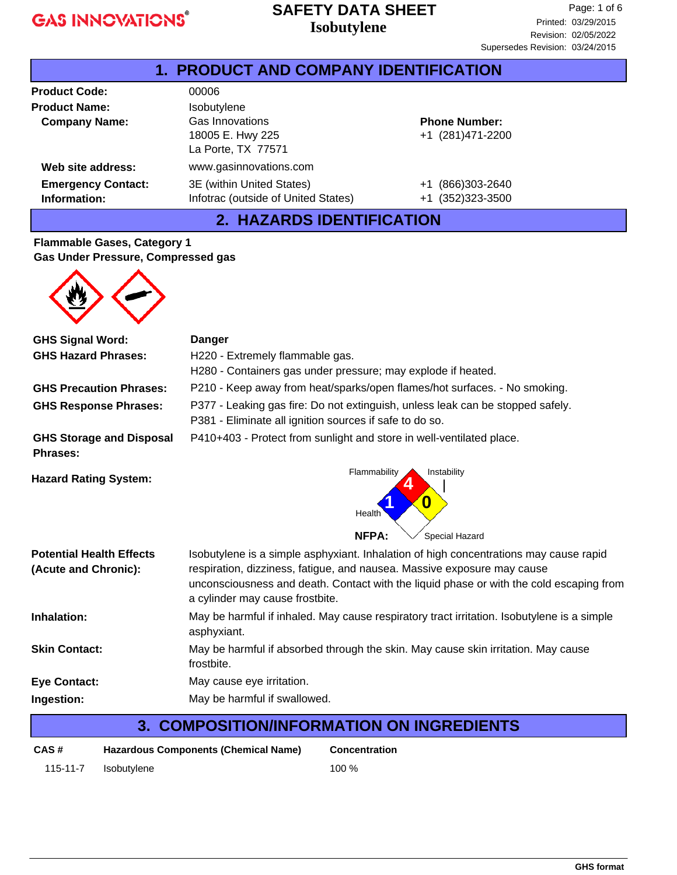### **Isobutylene SAFETY DATA SHEET**

| <b>1. PRODUCT AND COMPANY IDENTIFICATION</b> |                                                                  |                                               |  |  |
|----------------------------------------------|------------------------------------------------------------------|-----------------------------------------------|--|--|
| <b>Product Code:</b>                         | 00006                                                            |                                               |  |  |
| <b>Product Name:</b>                         | Isobutylene                                                      |                                               |  |  |
| <b>Company Name:</b>                         | Gas Innovations<br>18005 E. Hwy 225<br>La Porte, TX 77571        | <b>Phone Number:</b><br>+1 (281)471-2200      |  |  |
| Web site address:                            | www.gasinnovations.com                                           |                                               |  |  |
| <b>Emergency Contact:</b><br>Information:    | 3E (within United States)<br>Infotrac (outside of United States) | (866)303-2640<br>$+1$<br>(352) 323-3500<br>+1 |  |  |

### **2. HAZARDS IDENTIFICATION**

### **Flammable Gases, Category 1 Gas Under Pressure, Compressed gas**



| <b>GHS Signal Word:</b>                            | <b>Danger</b>                                                                                                                             |
|----------------------------------------------------|-------------------------------------------------------------------------------------------------------------------------------------------|
| <b>GHS Hazard Phrases:</b>                         | H220 - Extremely flammable gas.                                                                                                           |
|                                                    | H280 - Containers gas under pressure; may explode if heated.                                                                              |
| <b>GHS Precaution Phrases:</b>                     | P210 - Keep away from heat/sparks/open flames/hot surfaces. - No smoking.                                                                 |
| <b>GHS Response Phrases:</b>                       | P377 - Leaking gas fire: Do not extinguish, unless leak can be stopped safely.<br>P381 - Eliminate all ignition sources if safe to do so. |
| <b>GHS Storage and Disposal</b><br><b>Phrases:</b> | P410+403 - Protect from sunlight and store in well-ventilated place.                                                                      |
| <b>Hazard Rating System:</b>                       | Flammability<br>Instability<br>0<br>Health<br>NFPA:<br>Special Hazard                                                                     |
| <b>Potential Health Effects</b>                    | Isobutylene is a simple asphyxiant. Inhalation of high concentrations may cause rapid                                                     |
| (Acute and Chronic):                               | respiration, dizziness, fatigue, and nausea. Massive exposure may cause                                                                   |
|                                                    | unconsciousness and death. Contact with the liquid phase or with the cold escaping from<br>a cylinder may cause frostbite.                |
| Inhalation:                                        | May be harmful if inhaled. May cause respiratory tract irritation. Isobutylene is a simple<br>asphyxiant.                                 |
| <b>Skin Contact:</b>                               | May be harmful if absorbed through the skin. May cause skin irritation. May cause<br>frostbite.                                           |
| <b>Eye Contact:</b>                                | May cause eye irritation.                                                                                                                 |
| Ingestion:                                         | May be harmful if swallowed.                                                                                                              |
|                                                    |                                                                                                                                           |

## **3. COMPOSITION/INFORMATION ON INGREDIENTS**

| CAS#     | Hazardous Components (Chemical Name) | Conce   |
|----------|--------------------------------------|---------|
| 115-11-7 | Isobutylene                          | $100\%$ |

**Concentration**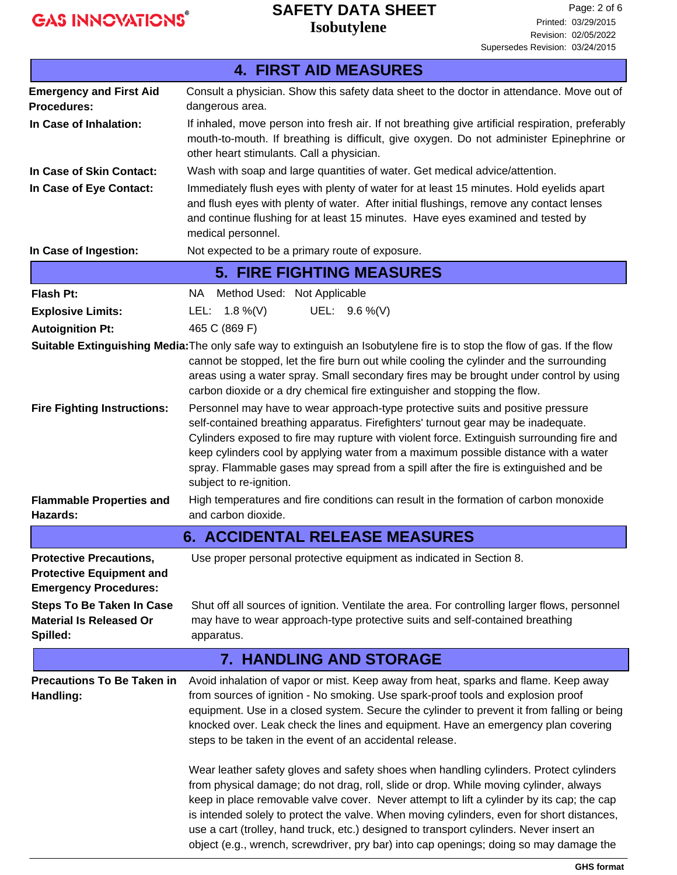## **Isobutylene SAFETY DATA SHEET**

|                                                                                                  | <b>4. FIRST AID MEASURES</b>                                                                                                                                                                                                                                                                                                                                                                                                                                                                                                                                                                                                                                                                                                                                                                                                                                                                                                                                                             |
|--------------------------------------------------------------------------------------------------|------------------------------------------------------------------------------------------------------------------------------------------------------------------------------------------------------------------------------------------------------------------------------------------------------------------------------------------------------------------------------------------------------------------------------------------------------------------------------------------------------------------------------------------------------------------------------------------------------------------------------------------------------------------------------------------------------------------------------------------------------------------------------------------------------------------------------------------------------------------------------------------------------------------------------------------------------------------------------------------|
| <b>Emergency and First Aid</b>                                                                   | Consult a physician. Show this safety data sheet to the doctor in attendance. Move out of                                                                                                                                                                                                                                                                                                                                                                                                                                                                                                                                                                                                                                                                                                                                                                                                                                                                                                |
| <b>Procedures:</b>                                                                               | dangerous area.                                                                                                                                                                                                                                                                                                                                                                                                                                                                                                                                                                                                                                                                                                                                                                                                                                                                                                                                                                          |
| In Case of Inhalation:                                                                           | If inhaled, move person into fresh air. If not breathing give artificial respiration, preferably<br>mouth-to-mouth. If breathing is difficult, give oxygen. Do not administer Epinephrine or<br>other heart stimulants. Call a physician.                                                                                                                                                                                                                                                                                                                                                                                                                                                                                                                                                                                                                                                                                                                                                |
| In Case of Skin Contact:                                                                         | Wash with soap and large quantities of water. Get medical advice/attention.                                                                                                                                                                                                                                                                                                                                                                                                                                                                                                                                                                                                                                                                                                                                                                                                                                                                                                              |
| In Case of Eye Contact:                                                                          | Immediately flush eyes with plenty of water for at least 15 minutes. Hold eyelids apart<br>and flush eyes with plenty of water. After initial flushings, remove any contact lenses<br>and continue flushing for at least 15 minutes. Have eyes examined and tested by<br>medical personnel.                                                                                                                                                                                                                                                                                                                                                                                                                                                                                                                                                                                                                                                                                              |
| In Case of Ingestion:                                                                            | Not expected to be a primary route of exposure.                                                                                                                                                                                                                                                                                                                                                                                                                                                                                                                                                                                                                                                                                                                                                                                                                                                                                                                                          |
|                                                                                                  | <b>5. FIRE FIGHTING MEASURES</b>                                                                                                                                                                                                                                                                                                                                                                                                                                                                                                                                                                                                                                                                                                                                                                                                                                                                                                                                                         |
| Flash Pt:                                                                                        | Method Used: Not Applicable<br>NA .                                                                                                                                                                                                                                                                                                                                                                                                                                                                                                                                                                                                                                                                                                                                                                                                                                                                                                                                                      |
| <b>Explosive Limits:</b>                                                                         | UEL: $9.6\%$ (V)<br>LEL: $1.8\%$ (V)                                                                                                                                                                                                                                                                                                                                                                                                                                                                                                                                                                                                                                                                                                                                                                                                                                                                                                                                                     |
| <b>Autoignition Pt:</b>                                                                          | 465 C (869 F)                                                                                                                                                                                                                                                                                                                                                                                                                                                                                                                                                                                                                                                                                                                                                                                                                                                                                                                                                                            |
|                                                                                                  | Suitable Extinguishing Media: The only safe way to extinguish an Isobutylene fire is to stop the flow of gas. If the flow<br>cannot be stopped, let the fire burn out while cooling the cylinder and the surrounding<br>areas using a water spray. Small secondary fires may be brought under control by using<br>carbon dioxide or a dry chemical fire extinguisher and stopping the flow.                                                                                                                                                                                                                                                                                                                                                                                                                                                                                                                                                                                              |
| <b>Fire Fighting Instructions:</b>                                                               | Personnel may have to wear approach-type protective suits and positive pressure<br>self-contained breathing apparatus. Firefighters' turnout gear may be inadequate.<br>Cylinders exposed to fire may rupture with violent force. Extinguish surrounding fire and<br>keep cylinders cool by applying water from a maximum possible distance with a water<br>spray. Flammable gases may spread from a spill after the fire is extinguished and be<br>subject to re-ignition.                                                                                                                                                                                                                                                                                                                                                                                                                                                                                                              |
| <b>Flammable Properties and</b><br>Hazards:                                                      | High temperatures and fire conditions can result in the formation of carbon monoxide<br>and carbon dioxide.                                                                                                                                                                                                                                                                                                                                                                                                                                                                                                                                                                                                                                                                                                                                                                                                                                                                              |
|                                                                                                  | <b>6. ACCIDENTAL RELEASE MEASURES</b>                                                                                                                                                                                                                                                                                                                                                                                                                                                                                                                                                                                                                                                                                                                                                                                                                                                                                                                                                    |
| <b>Protective Precautions</b><br><b>Protective Equipment and</b><br><b>Emergency Procedures:</b> | Use proper personal protective equipment as indicated in Section 8.                                                                                                                                                                                                                                                                                                                                                                                                                                                                                                                                                                                                                                                                                                                                                                                                                                                                                                                      |
| <b>Steps To Be Taken In Case</b><br><b>Material Is Released Or</b><br>Spilled:                   | Shut off all sources of ignition. Ventilate the area. For controlling larger flows, personnel<br>may have to wear approach-type protective suits and self-contained breathing<br>apparatus.                                                                                                                                                                                                                                                                                                                                                                                                                                                                                                                                                                                                                                                                                                                                                                                              |
|                                                                                                  | 7. HANDLING AND STORAGE                                                                                                                                                                                                                                                                                                                                                                                                                                                                                                                                                                                                                                                                                                                                                                                                                                                                                                                                                                  |
| <b>Precautions To Be Taken in</b><br>Handling:                                                   | Avoid inhalation of vapor or mist. Keep away from heat, sparks and flame. Keep away<br>from sources of ignition - No smoking. Use spark-proof tools and explosion proof<br>equipment. Use in a closed system. Secure the cylinder to prevent it from falling or being<br>knocked over. Leak check the lines and equipment. Have an emergency plan covering<br>steps to be taken in the event of an accidental release.<br>Wear leather safety gloves and safety shoes when handling cylinders. Protect cylinders<br>from physical damage; do not drag, roll, slide or drop. While moving cylinder, always<br>keep in place removable valve cover. Never attempt to lift a cylinder by its cap; the cap<br>is intended solely to protect the valve. When moving cylinders, even for short distances,<br>use a cart (trolley, hand truck, etc.) designed to transport cylinders. Never insert an<br>object (e.g., wrench, screwdriver, pry bar) into cap openings; doing so may damage the |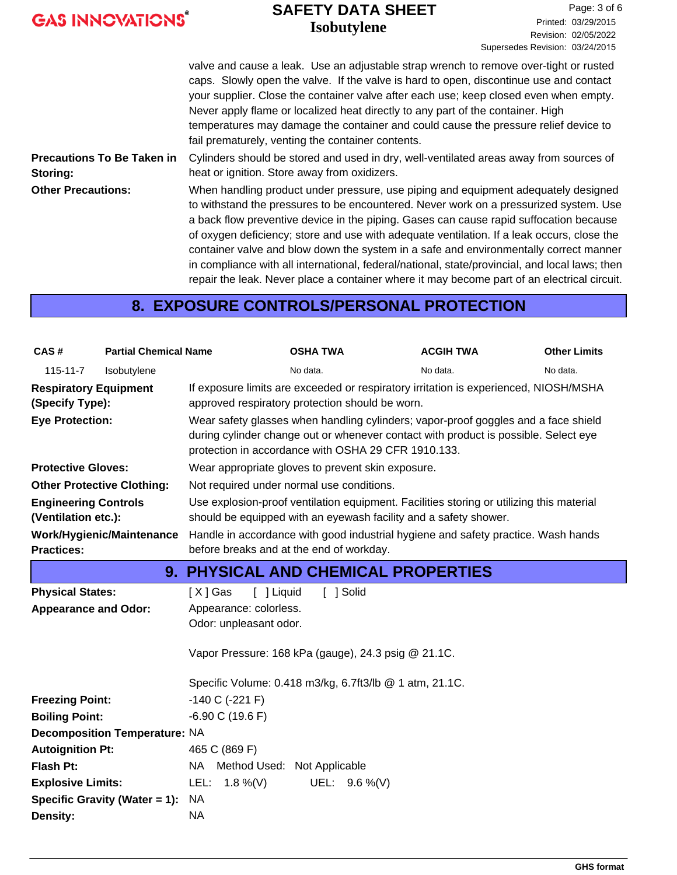|  |  | <b>GAS INNOVATIONS®</b> |  |
|--|--|-------------------------|--|
|--|--|-------------------------|--|

### **Isobutylene SAFETY DATA SHEET**

valve and cause a leak. Use an adjustable strap wrench to remove over-tight or rusted caps. Slowly open the valve. If the valve is hard to open, discontinue use and contact your supplier. Close the container valve after each use; keep closed even when empty. Never apply flame or localized heat directly to any part of the container. High temperatures may damage the container and could cause the pressure relief device to fail prematurely, venting the container contents. Cylinders should be stored and used in dry, well-ventilated areas away from sources of heat or ignition. Store away from oxidizers. **Precautions To Be Taken in Storing:** When handling product under pressure, use piping and equipment adequately designed to withstand the pressures to be encountered. Never work on a pressurized system. Use a back flow preventive device in the piping. Gases can cause rapid suffocation because of oxygen deficiency; store and use with adequate ventilation. If a leak occurs, close the container valve and blow down the system in a safe and environmentally correct manner in compliance with all international, federal/national, state/provincial, and local laws; then repair the leak. Never place a container where it may become part of an electrical circuit. **Other Precautions:**

### **8. EXPOSURE CONTROLS/PERSONAL PROTECTION**

| CAS#                                                                      | <b>Partial Chemical Name</b>         |                                                                           | <b>OSHA TWA</b>                                                                                                                                                                                                                                                                                                                                                             | <b>ACGIH TWA</b> | <b>Other Limits</b> |
|---------------------------------------------------------------------------|--------------------------------------|---------------------------------------------------------------------------|-----------------------------------------------------------------------------------------------------------------------------------------------------------------------------------------------------------------------------------------------------------------------------------------------------------------------------------------------------------------------------|------------------|---------------------|
| $115 - 11 - 7$                                                            | Isobutylene                          |                                                                           | No data.                                                                                                                                                                                                                                                                                                                                                                    | No data.         | No data.            |
| <b>Respiratory Equipment</b><br>(Specify Type):<br><b>Eye Protection:</b> |                                      |                                                                           | If exposure limits are exceeded or respiratory irritation is experienced, NIOSH/MSHA<br>approved respiratory protection should be worn.<br>Wear safety glasses when handling cylinders; vapor-proof goggles and a face shield<br>during cylinder change out or whenever contact with product is possible. Select eye<br>protection in accordance with OSHA 29 CFR 1910.133. |                  |                     |
| <b>Protective Gloves:</b>                                                 |                                      |                                                                           | Wear appropriate gloves to prevent skin exposure.                                                                                                                                                                                                                                                                                                                           |                  |                     |
| <b>Other Protective Clothing:</b>                                         |                                      |                                                                           | Not required under normal use conditions.                                                                                                                                                                                                                                                                                                                                   |                  |                     |
| <b>Engineering Controls</b><br>(Ventilation etc.):                        |                                      |                                                                           | Use explosion-proof ventilation equipment. Facilities storing or utilizing this material<br>should be equipped with an eyewash facility and a safety shower.                                                                                                                                                                                                                |                  |                     |
| <b>Practices:</b>                                                         | <b>Work/Hygienic/Maintenance</b>     |                                                                           | Handle in accordance with good industrial hygiene and safety practice. Wash hands<br>before breaks and at the end of workday.                                                                                                                                                                                                                                               |                  |                     |
|                                                                           |                                      |                                                                           | 9. PHYSICAL AND CHEMICAL PROPERTIES                                                                                                                                                                                                                                                                                                                                         |                  |                     |
| <b>Physical States:</b><br><b>Appearance and Odor:</b>                    |                                      | [ ] Liquid<br>[X] Gas<br>Appearance: colorless.<br>Odor: unpleasant odor. | [ ] Solid<br>Vapor Pressure: 168 kPa (gauge), 24.3 psig @ 21.1C.                                                                                                                                                                                                                                                                                                            |                  |                     |
|                                                                           |                                      |                                                                           | Specific Volume: 0.418 m3/kg, 6.7ft3/lb @ 1 atm, 21.1C.                                                                                                                                                                                                                                                                                                                     |                  |                     |
| <b>Freezing Point:</b>                                                    |                                      | $-140$ C ( $-221$ F)                                                      |                                                                                                                                                                                                                                                                                                                                                                             |                  |                     |
| <b>Boiling Point:</b>                                                     |                                      | $-6.90$ C (19.6 F)                                                        |                                                                                                                                                                                                                                                                                                                                                                             |                  |                     |
|                                                                           | <b>Decomposition Temperature: NA</b> |                                                                           |                                                                                                                                                                                                                                                                                                                                                                             |                  |                     |
| <b>Autoignition Pt:</b>                                                   |                                      | 465 C (869 F)                                                             |                                                                                                                                                                                                                                                                                                                                                                             |                  |                     |
| <b>Flash Pt:</b>                                                          |                                      | NA Method Used: Not Applicable                                            |                                                                                                                                                                                                                                                                                                                                                                             |                  |                     |
| <b>Explosive Limits:</b>                                                  |                                      | LEL: $1.8\%$ (V)<br><b>NA</b>                                             | UEL: 9.6 %(V)                                                                                                                                                                                                                                                                                                                                                               |                  |                     |
| Density:                                                                  | Specific Gravity (Water = 1):        | <b>NA</b>                                                                 |                                                                                                                                                                                                                                                                                                                                                                             |                  |                     |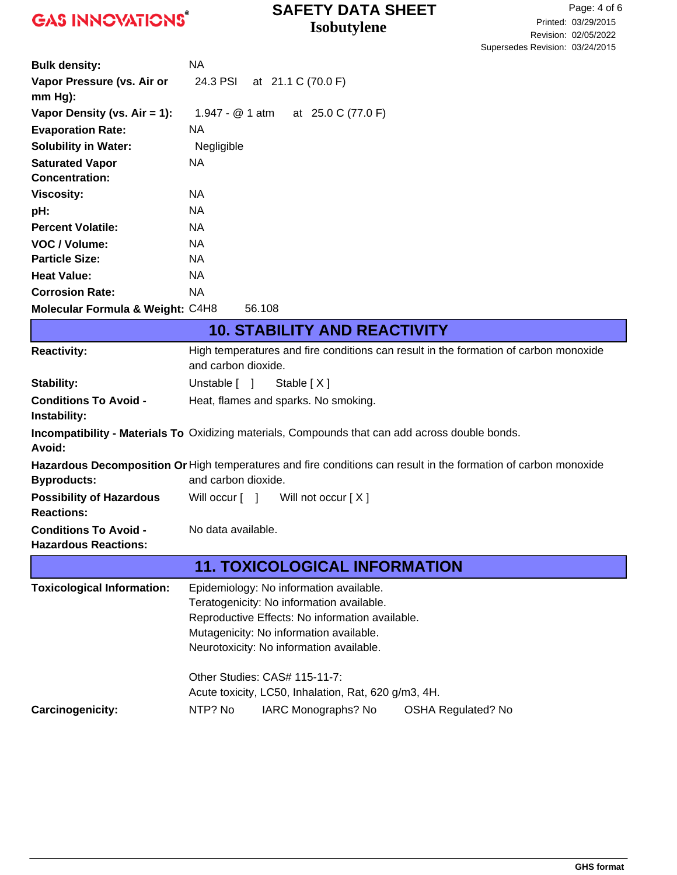## **Isobutylene SAFETY DATA SHEET**

| <b>Bulk density:</b>                        | NA.             |        |                    |
|---------------------------------------------|-----------------|--------|--------------------|
| Vapor Pressure (vs. Air or<br>$mm Hg$ :     | 24.3 PSI        |        | at 21.1 C (70.0 F) |
| Vapor Density (vs. $Air = 1$ ):             | 1.947 - @ 1 atm |        | at 25.0 C (77.0 F) |
| <b>Evaporation Rate:</b>                    | NA.             |        |                    |
| <b>Solubility in Water:</b>                 | Negligible      |        |                    |
| <b>Saturated Vapor</b>                      | NA.             |        |                    |
| <b>Concentration:</b>                       |                 |        |                    |
| <b>Viscosity:</b>                           | NA.             |        |                    |
| pH:                                         | NA.             |        |                    |
| <b>Percent Volatile:</b>                    | NA.             |        |                    |
| VOC / Volume:                               | NA.             |        |                    |
| <b>Particle Size:</b>                       | NA.             |        |                    |
| <b>Heat Value:</b>                          | NA.             |        |                    |
| <b>Corrosion Rate:</b>                      | NA.             |        |                    |
| <b>Molecular Formula &amp; Weight: C4H8</b> |                 | 56.108 |                    |

|                                                             | <b>10. STABILITY AND REACTIVITY</b>                                                                                                                                                                                            |  |  |  |  |
|-------------------------------------------------------------|--------------------------------------------------------------------------------------------------------------------------------------------------------------------------------------------------------------------------------|--|--|--|--|
| <b>Reactivity:</b>                                          | High temperatures and fire conditions can result in the formation of carbon monoxide<br>and carbon dioxide.                                                                                                                    |  |  |  |  |
| <b>Stability:</b>                                           | Unstable [ ]<br>Stable [X]                                                                                                                                                                                                     |  |  |  |  |
| <b>Conditions To Avoid -</b><br>Instability:                | Heat, flames and sparks. No smoking.                                                                                                                                                                                           |  |  |  |  |
| Avoid:                                                      | Incompatibility - Materials To Oxidizing materials, Compounds that can add across double bonds.                                                                                                                                |  |  |  |  |
| <b>Byproducts:</b>                                          | Hazardous Decomposition Or High temperatures and fire conditions can result in the formation of carbon monoxide<br>and carbon dioxide.                                                                                         |  |  |  |  |
| <b>Possibility of Hazardous</b><br><b>Reactions:</b>        | Will not occur $[X]$<br>Will occur [ ]                                                                                                                                                                                         |  |  |  |  |
| <b>Conditions To Avoid -</b><br><b>Hazardous Reactions:</b> | No data available.                                                                                                                                                                                                             |  |  |  |  |
|                                                             | <b>11. TOXICOLOGICAL INFORMATION</b>                                                                                                                                                                                           |  |  |  |  |
| <b>Toxicological Information:</b>                           | Epidemiology: No information available.<br>Teratogenicity: No information available.<br>Reproductive Effects: No information available.<br>Mutagenicity: No information available.<br>Neurotoxicity: No information available. |  |  |  |  |
|                                                             | Other Studies: CAS# 115-11-7:<br>Acute toxicity, LC50, Inhalation, Rat, 620 g/m3, 4H.                                                                                                                                          |  |  |  |  |
| Carcinogenicity:                                            | NTP? No<br>IARC Monographs? No<br><b>OSHA Regulated? No</b>                                                                                                                                                                    |  |  |  |  |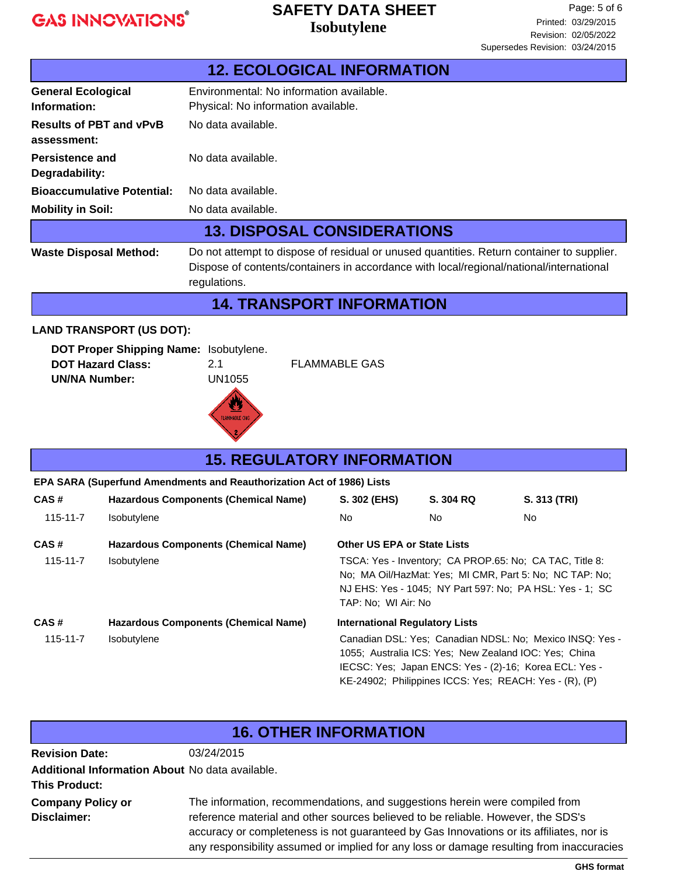### **Isobutylene SAFETY DATA SHEET**

|                                               | <b>12. ECOLOGICAL INFORMATION</b>                                                                                                                                                                    |
|-----------------------------------------------|------------------------------------------------------------------------------------------------------------------------------------------------------------------------------------------------------|
| <b>General Ecological</b><br>Information:     | Environmental: No information available.<br>Physical: No information available.                                                                                                                      |
| <b>Results of PBT and vPvB</b><br>assessment: | No data available.                                                                                                                                                                                   |
| Persistence and<br>Degradability:             | No data available.                                                                                                                                                                                   |
| <b>Bioaccumulative Potential:</b>             | No data available.                                                                                                                                                                                   |
| <b>Mobility in Soil:</b>                      | No data available.                                                                                                                                                                                   |
|                                               | <b>13. DISPOSAL CONSIDERATIONS</b>                                                                                                                                                                   |
| <b>Waste Disposal Method:</b>                 | Do not attempt to dispose of residual or unused quantities. Return container to supplier.<br>Dispose of contents/containers in accordance with local/regional/national/international<br>regulations. |
|                                               | <b>14. TRANSPORT INFORMATION</b>                                                                                                                                                                     |

#### **LAND TRANSPORT (US DOT):**

| DOT Proper Shipping Name: Isobutylene. |        |                      |
|----------------------------------------|--------|----------------------|
| <b>DOT Hazard Class:</b>               | 21     | <b>FLAMMABLE GAS</b> |
| UN/NA Number:                          | UN1055 |                      |



| <b>15. REGULATORY INFORMATION</b> |                                                                       |                                                                                                                                                                                                                                       |           |              |  |
|-----------------------------------|-----------------------------------------------------------------------|---------------------------------------------------------------------------------------------------------------------------------------------------------------------------------------------------------------------------------------|-----------|--------------|--|
|                                   | EPA SARA (Superfund Amendments and Reauthorization Act of 1986) Lists |                                                                                                                                                                                                                                       |           |              |  |
| CAS#                              | <b>Hazardous Components (Chemical Name)</b>                           | S. 302 (EHS)                                                                                                                                                                                                                          | S. 304 RQ | S. 313 (TRI) |  |
| 115-11-7                          | <b>Isobutylene</b>                                                    | No.                                                                                                                                                                                                                                   | No.       | No.          |  |
| CAS#                              | <b>Hazardous Components (Chemical Name)</b>                           | <b>Other US EPA or State Lists</b>                                                                                                                                                                                                    |           |              |  |
| $115 - 11 - 7$                    | Isobutylene                                                           | TSCA: Yes - Inventory: CA PROP.65: No: CA TAC, Title 8:<br>No: MA Oil/HazMat: Yes: MI CMR, Part 5: No: NC TAP: No:<br>NJ EHS: Yes - 1045; NY Part 597: No: PA HSL: Yes - 1; SC<br>TAP: No: WI Air: No                                 |           |              |  |
| CAS#                              | <b>Hazardous Components (Chemical Name)</b>                           | <b>International Regulatory Lists</b>                                                                                                                                                                                                 |           |              |  |
| $115 - 11 - 7$                    | Isobutylene                                                           | Canadian DSL: Yes: Canadian NDSL: No: Mexico INSQ: Yes -<br>1055; Australia ICS: Yes; New Zealand IOC: Yes; China<br>IECSC: Yes; Japan ENCS: Yes - (2)-16; Korea ECL: Yes -<br>KE-24902; Philippines ICCS: Yes; REACH: Yes - (R), (P) |           |              |  |

### **16. OTHER INFORMATION**

**Additional Information About** No data available. **This Product:** The information, recommendations, and suggestions herein were compiled from reference material and other sources believed to be reliable. However, the SDS's accuracy or completeness is not guaranteed by Gas Innovations or its affiliates, nor is any responsibility assumed or implied for any loss or damage resulting from inaccuracies **Company Policy or Disclaimer: Revision Date:** 03/24/2015